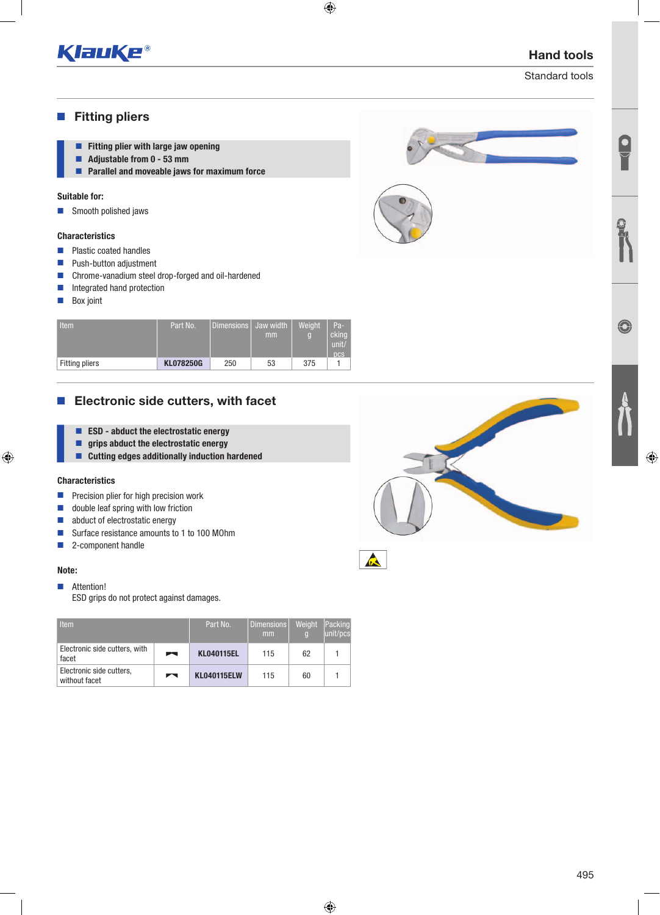

# Hand tools

Standard tools

## **Fitting pliers**

- **Fitting plier with large jaw opening**
- Adjustable from 0 53 mm
- **Parallel and moveable jaws for maximum force**

## Suitable for:

■ Smooth polished jaws

### **Characteristics**

- **Plastic coated handles**
- **Push-button adjustment**
- Chrome-vanadium steel drop-forged and oil-hardened
- Integrated hand protection
- **Box** joint

| Item                  | Part No.         | l Dimensions l | Jaw width<br>mm | Weight<br>б | $Pa-$<br>cking<br>unit<br>ncs |
|-----------------------|------------------|----------------|-----------------|-------------|-------------------------------|
| <b>Fitting pliers</b> | <b>KL078250G</b> | 250            | 53              | 375         |                               |

# **Electronic side cutters, with facet**

- **EXD** abduct the electrostatic energy
- $\blacksquare$  grips abduct the electrostatic energy
- Cutting edges additionally induction hardened

### Characteristics

- **Precision plier for high precision work**
- $\Box$  double leaf spring with low friction
- abduct of electrostatic energy
- Surface resistance amounts to 1 to 100 MOhm
- 2-component handle

### Note:

**Attention!** ESD grips do not protect against damages.

| <b>Item</b>                               |   | Part No.           | Dimensions<br>mm | Weight<br>$\Box$ | Packing <br>unit/pcs |
|-------------------------------------------|---|--------------------|------------------|------------------|----------------------|
| Electronic side cutters, with<br>facet    | m | <b>KL040115EL</b>  | 115              | 62               |                      |
| Electronic side cutters,<br>without facet | ┍ | <b>KL040115ELW</b> | 115              | 60               |                      |